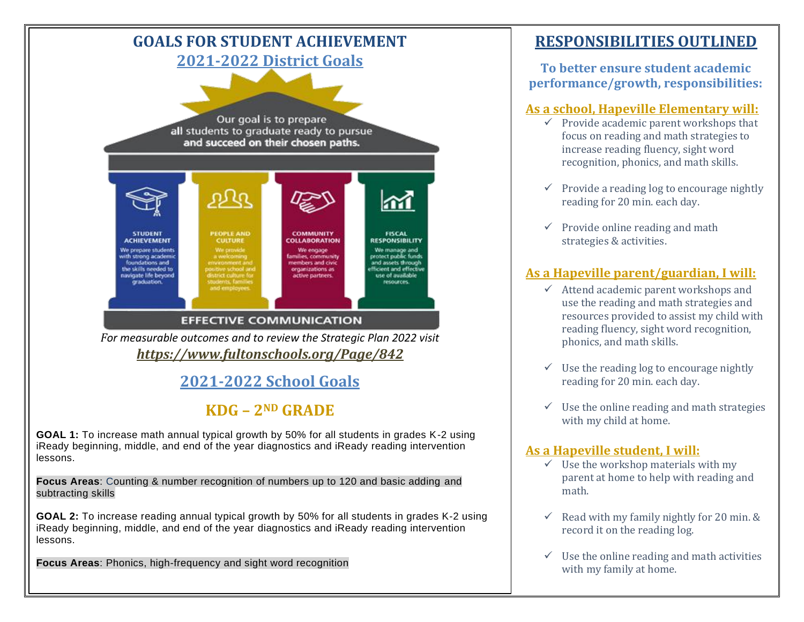

# **KDG – 2ND GRADE**

**GOAL 1:** To increase math annual typical growth by 50% for all students in grades K-2 using iReady beginning, middle, and end of the year diagnostics and iReady reading intervention lessons.

**Focus Areas**: Counting & number recognition of numbers up to 120 and basic adding and subtracting skills

**GOAL 2:** To increase reading annual typical growth by 50% for all students in grades K-2 using iReady beginning, middle, and end of the year diagnostics and iReady reading intervention lessons.

**Focus Areas**: Phonics, high-frequency and sight word recognition

# **RESPONSIBILITIES OUTLINED**

**To better ensure student academic performance/growth, responsibilities:**

#### **As a school, Hapeville Elementary will:**

- $\checkmark$  Provide academic parent workshops that focus on reading and math strategies to increase reading fluency, sight word recognition, phonics, and math skills.
- $\checkmark$  Provide a reading log to encourage nightly reading for 20 min. each day.
- $\checkmark$  Provide online reading and math strategies & activities.

#### **As a Hapeville parent/guardian, I will:**

- $\checkmark$  Attend academic parent workshops and use the reading and math strategies and resources provided to assist my child with reading fluency, sight word recognition, phonics, and math skills.
- $\checkmark$  Use the reading log to encourage nightly reading for 20 min. each day.
- $\checkmark$  Use the online reading and math strategies with my child at home.

#### **As a Hapeville student, I will:**

- $\checkmark$  Use the workshop materials with my parent at home to help with reading and math.
- $\checkmark$  Read with my family nightly for 20 min. & record it on the reading log.
- $\checkmark$  Use the online reading and math activities with my family at home.